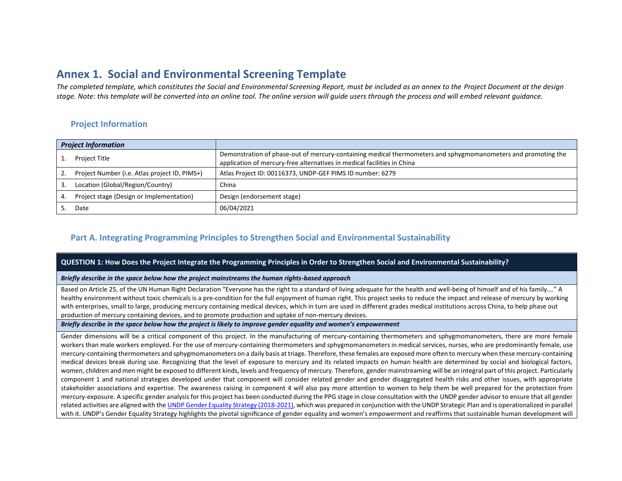# **Annex 1. Social and Environmental Screening Template**

*The completed template, which constitutes the Social and Environmental Screening Report, must be included as an annex to the Project Document at the design stage. Note: this template will be converted into an online tool. The online version will guide users through the process and will embed relevant guidance.* 

## **Project Information**

| <b>Project Information</b> |                                               |                                                                                                                                                                                          |
|----------------------------|-----------------------------------------------|------------------------------------------------------------------------------------------------------------------------------------------------------------------------------------------|
|                            | Project Title                                 | Demonstration of phase-out of mercury-containing medical thermometers and sphygmomanometers and promoting the<br>application of mercury-free alternatives in medical facilities in China |
|                            | Project Number (i.e. Atlas project ID, PIMS+) | Atlas Project ID: 00116373, UNDP-GEF PIMS ID number: 6279                                                                                                                                |
|                            | Location (Global/Region/Country)              | China                                                                                                                                                                                    |
| 4.                         | Project stage (Design or Implementation)      | Design (endorsement stage)                                                                                                                                                               |
|                            | Date                                          | 06/04/2021                                                                                                                                                                               |

### **Part A. Integrating Programming Principles to Strengthen Social and Environmental Sustainability**

#### **QUESTION 1: How Does the Project Integrate the Programming Principles in Order to Strengthen Social and Environmental Sustainability?**

#### *Briefly describe in the space below how the project mainstreams the human rights-based approach*

Based on Article 25, of the UN Human Right Declaration "Everyone has the right to a standard of living adequate for the health and well-being of himself and of his family…." A healthy environment without toxic chemicals is a pre-condition for the full enjoyment of human right. This project seeks to reduce the impact and release of mercury by working with enterprises, small to large, producing mercury containing medical devices, which in turn are used in different grades medical institutions across China, to help phase out production of mercury containing devices, and to promote production and uptake of non-mercury devices.

#### *Briefly describe in the space below how the project is likely to improve gender equality and women's empowerment*

Gender dimensions will be a critical component of this project. In the manufacturing of mercury-containing thermometers and sphygmomanometers, there are more female workers than male workers employed. For the use of mercury-containing thermometers and sphygmomanometers in medical services, nurses, who are predominantly female, use mercury-containing thermometers and sphygmomanometers on a daily basis at triage. Therefore, these females are exposed more often to mercury when these mercury-containing medical devices break during use. Recognizing that the level of exposure to mercury and its related impacts on human health are determined by social and biological factors, women, children and men might be exposed to different kinds, levels and frequency of mercury. Therefore, gender mainstreaming will be an integral part of this project. Particularly component 1 and national strategies developed under that component will consider related gender and gender disaggregated health risks and other issues, with appropriate stakeholder associations and expertise. The awareness raising in component 4 will also pay more attention to women to help them be well prepared for the protection from mercury-exposure. A specific gender analysis for this project has been conducted during the PPG stage in close consultation with the UNDP gender advisor to ensure that all gender related activities are aligned with th[e UNDP Gender Equality Strategy \(2018-2021\),](https://www.undp.org/content/undp/en/home/librarypage/womens-empowerment/undp-gender-equality-strategy-2018-2021.html) which was prepared in conjunction with the UNDP Strategic Plan and is operationalized in parallel with it. UNDP's Gender Equality Strategy highlights the pivotal significance of gender equality and women's empowerment and reaffirms that sustainable human development will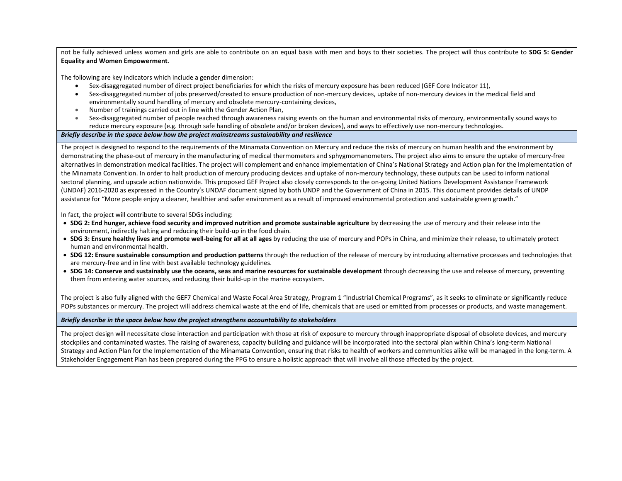not be fully achieved unless women and girls are able to contribute on an equal basis with men and boys to their societies. The project will thus contribute to **SDG 5: Gender Equality and Women Empowerment**.

The following are key indicators which include a gender dimension:

- Sex-disaggregated number of direct project beneficiaries for which the risks of mercury exposure has been reduced (GEF Core Indicator 11),
- Sex-disaggregated number of jobs preserved/created to ensure production of non-mercury devices, uptake of non-mercury devices in the medical field and environmentally sound handling of mercury and obsolete mercury-containing devices,
- Number of trainings carried out in line with the Gender Action Plan,
- Sex-disaggregated number of people reached through awareness raising events on the human and environmental risks of mercury, environmentally sound ways to reduce mercury exposure (e.g. through safe handling of obsolete and/or broken devices), and ways to effectively use non-mercury technologies.

#### *Briefly describe in the space below how the project mainstreams sustainability and resilience*

The project is designed to respond to the requirements of the Minamata Convention on Mercury and reduce the risks of mercury on human health and the environment by demonstrating the phase-out of mercury in the manufacturing of medical thermometers and sphygmomanometers. The project also aims to ensure the uptake of mercury-free alternatives in demonstration medical facilities. The project will complement and enhance implementation of China's National Strategy and Action plan for the Implementation of the Minamata Convention. In order to halt production of mercury producing devices and uptake of non-mercury technology, these outputs can be used to inform national sectoral planning, and upscale action nationwide. This proposed GEF Project also closely corresponds to the on-going United Nations Development Assistance Framework (UNDAF) 2016-2020 as expressed in the Country's UNDAF document signed by both UNDP and the Government of China in 2015. This document provides details of UNDP assistance for "More people enjoy a cleaner, healthier and safer environment as a result of improved environmental protection and sustainable green growth."

In fact, the project will contribute to several SDGs including:

- **SDG 2: End hunger, achieve food security and improved nutrition and promote sustainable agriculture** by decreasing the use of mercury and their release into the environment, indirectly halting and reducing their build-up in the food chain.
- **SDG 3: Ensure healthy lives and promote well-being for all at all ages** by reducing the use of mercury and POPs in China, and minimize their release, to ultimately protect human and environmental health.
- **SDG 12: Ensure sustainable consumption and production patterns** through the reduction of the release of mercury by introducing alternative processes and technologies that are mercury-free and in line with best available technology guidelines.
- **SDG 14: Conserve and sustainably use the oceans, seas and marine resources for sustainable development** through decreasing the use and release of mercury, preventing them from entering water sources, and reducing their build-up in the marine ecosystem.

The project is also fully aligned with the GEF7 Chemical and Waste Focal Area Strategy, Program 1 "Industrial Chemical Programs", as it seeks to eliminate or significantly reduce POPs substances or mercury. The project will address chemical waste at the end of life, chemicals that are used or emitted from processes or products, and waste management.

#### *Briefly describe in the space below how the project strengthens accountability to stakeholders*

The project design will necessitate close interaction and participation with those at risk of exposure to mercury through inappropriate disposal of obsolete devices, and mercury stockpiles and contaminated wastes. The raising of awareness, capacity building and guidance will be incorporated into the sectoral plan within China's long-term National Strategy and Action Plan for the Implementation of the Minamata Convention, ensuring that risks to health of workers and communities alike will be managed in the long-term. A Stakeholder Engagement Plan has been prepared during the PPG to ensure a holistic approach that will involve all those affected by the project.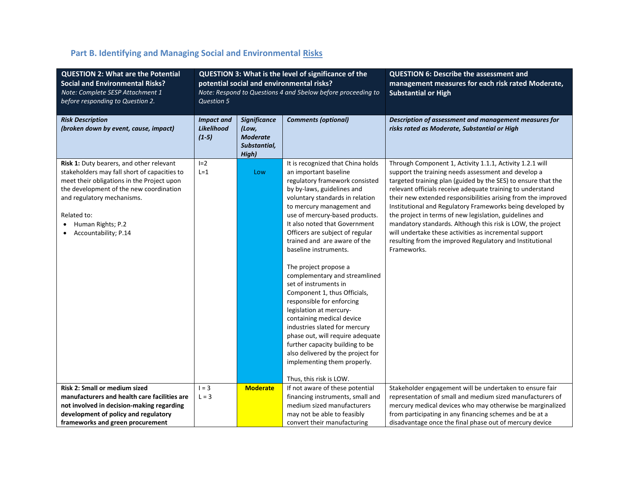| <b>QUESTION 2: What are the Potential</b><br><b>Social and Environmental Risks?</b><br>Note: Complete SESP Attachment 1<br>before responding to Question 2.                                                                                                                 | <b>QUESTION 3: What is the level of significance of the</b><br>potential social and environmental risks?<br>Note: Respond to Questions 4 and 5below before proceeding to<br><b>Question 5</b> |                                                                          |                                                                                                                                                                                                                                                                                                                                                                                                                                                                                                                                                                                                                                                                                                                                                                          | <b>QUESTION 6: Describe the assessment and</b><br>management measures for each risk rated Moderate,<br><b>Substantial or High</b>                                                                                                                                                                                                                                                                                                                                                                                                                                                                                                            |
|-----------------------------------------------------------------------------------------------------------------------------------------------------------------------------------------------------------------------------------------------------------------------------|-----------------------------------------------------------------------------------------------------------------------------------------------------------------------------------------------|--------------------------------------------------------------------------|--------------------------------------------------------------------------------------------------------------------------------------------------------------------------------------------------------------------------------------------------------------------------------------------------------------------------------------------------------------------------------------------------------------------------------------------------------------------------------------------------------------------------------------------------------------------------------------------------------------------------------------------------------------------------------------------------------------------------------------------------------------------------|----------------------------------------------------------------------------------------------------------------------------------------------------------------------------------------------------------------------------------------------------------------------------------------------------------------------------------------------------------------------------------------------------------------------------------------------------------------------------------------------------------------------------------------------------------------------------------------------------------------------------------------------|
| <b>Risk Description</b><br>(broken down by event, cause, impact)                                                                                                                                                                                                            | <b>Impact and</b><br><b>Likelihood</b><br>$(1-5)$                                                                                                                                             | <b>Significance</b><br>(Low,<br><b>Moderate</b><br>Substantial,<br>High) | <b>Comments (optional)</b>                                                                                                                                                                                                                                                                                                                                                                                                                                                                                                                                                                                                                                                                                                                                               | Description of assessment and management measures for<br>risks rated as Moderate, Substantial or High                                                                                                                                                                                                                                                                                                                                                                                                                                                                                                                                        |
| Risk 1: Duty bearers, and other relevant<br>stakeholders may fall short of capacities to<br>meet their obligations in the Project upon<br>the development of the new coordination<br>and regulatory mechanisms.<br>Related to:<br>Human Rights; P.2<br>Accountability; P.14 | $I=2$<br>$L = 1$                                                                                                                                                                              | Low                                                                      | It is recognized that China holds<br>an important baseline<br>regulatory framework consisted<br>by by-laws, guidelines and<br>voluntary standards in relation<br>to mercury management and<br>use of mercury-based products.<br>It also noted that Government<br>Officers are subject of regular<br>trained and are aware of the<br>baseline instruments.<br>The project propose a<br>complementary and streamlined<br>set of instruments in<br>Component 1, thus Officials,<br>responsible for enforcing<br>legislation at mercury-<br>containing medical device<br>industries slated for mercury<br>phase out, will require adequate<br>further capacity building to be<br>also delivered by the project for<br>implementing them properly.<br>Thus, this risk is LOW. | Through Component 1, Activity 1.1.1, Activity 1.2.1 will<br>support the training needs assessment and develop a<br>targeted training plan (guided by the SES) to ensure that the<br>relevant officials receive adequate training to understand<br>their new extended responsibilities arising from the improved<br>Institutional and Regulatory Frameworks being developed by<br>the project in terms of new legislation, guidelines and<br>mandatory standards. Although this risk is LOW, the project<br>will undertake these activities as incremental support<br>resulting from the improved Regulatory and Institutional<br>Frameworks. |
| Risk 2: Small or medium sized<br>manufacturers and health care facilities are<br>not involved in decision-making regarding                                                                                                                                                  | $1 = 3$<br>$L = 3$                                                                                                                                                                            | <b>Moderate</b>                                                          | If not aware of these potential<br>financing instruments, small and<br>medium sized manufacturers                                                                                                                                                                                                                                                                                                                                                                                                                                                                                                                                                                                                                                                                        | Stakeholder engagement will be undertaken to ensure fair<br>representation of small and medium sized manufacturers of<br>mercury medical devices who may otherwise be marginalized                                                                                                                                                                                                                                                                                                                                                                                                                                                           |
| development of policy and regulatory<br>frameworks and green procurement                                                                                                                                                                                                    |                                                                                                                                                                                               |                                                                          | may not be able to feasibly<br>convert their manufacturing                                                                                                                                                                                                                                                                                                                                                                                                                                                                                                                                                                                                                                                                                                               | from participating in any financing schemes and be at a<br>disadvantage once the final phase out of mercury device                                                                                                                                                                                                                                                                                                                                                                                                                                                                                                                           |

# Part B. Identifying and Managing Social and Environmental Risks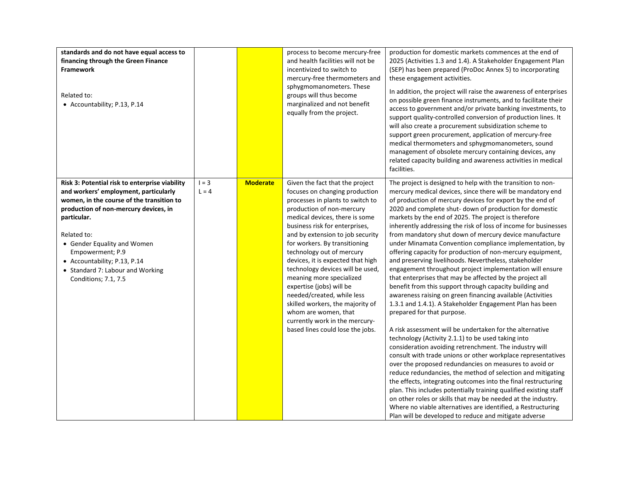| standards and do not have equal access to<br>financing through the Green Finance<br><b>Framework</b><br>Related to:<br>• Accountability; P.13, P.14                                                                                                                                                                                                        |                    |                 | process to become mercury-free<br>and health facilities will not be<br>incentivized to switch to<br>mercury-free thermometers and<br>sphygmomanometers. These<br>groups will thus become<br>marginalized and not benefit<br>equally from the project.                                                                                                                                                                                                                                                                                                                                                     | production for domestic markets commences at the end of<br>2025 (Activities 1.3 and 1.4). A Stakeholder Engagement Plan<br>(SEP) has been prepared (ProDoc Annex 5) to incorporating<br>these engagement activities.<br>In addition, the project will raise the awareness of enterprises<br>on possible green finance instruments, and to facilitate their<br>access to government and/or private banking investments, to<br>support quality-controlled conversion of production lines. It<br>will also create a procurement subsidization scheme to<br>support green procurement, application of mercury-free<br>medical thermometers and sphygmomanometers, sound<br>management of obsolete mercury containing devices, any<br>related capacity building and awareness activities in medical<br>facilities.                                                                                                                                                                                                                                                                                                                                                                                                                                                                                                                                                                                                                                                                                                                                                                                                                                                            |
|------------------------------------------------------------------------------------------------------------------------------------------------------------------------------------------------------------------------------------------------------------------------------------------------------------------------------------------------------------|--------------------|-----------------|-----------------------------------------------------------------------------------------------------------------------------------------------------------------------------------------------------------------------------------------------------------------------------------------------------------------------------------------------------------------------------------------------------------------------------------------------------------------------------------------------------------------------------------------------------------------------------------------------------------|--------------------------------------------------------------------------------------------------------------------------------------------------------------------------------------------------------------------------------------------------------------------------------------------------------------------------------------------------------------------------------------------------------------------------------------------------------------------------------------------------------------------------------------------------------------------------------------------------------------------------------------------------------------------------------------------------------------------------------------------------------------------------------------------------------------------------------------------------------------------------------------------------------------------------------------------------------------------------------------------------------------------------------------------------------------------------------------------------------------------------------------------------------------------------------------------------------------------------------------------------------------------------------------------------------------------------------------------------------------------------------------------------------------------------------------------------------------------------------------------------------------------------------------------------------------------------------------------------------------------------------------------------------------------------|
| Risk 3: Potential risk to enterprise viability<br>and workers' employment, particularly<br>women, in the course of the transition to<br>production of non-mercury devices, in<br>particular.<br>Related to:<br>• Gender Equality and Women<br>Empowerment; P.9<br>• Accountability; P.13, P.14<br>• Standard 7: Labour and Working<br>Conditions; 7.1, 7.5 | $1 = 3$<br>$L = 4$ | <b>Moderate</b> | Given the fact that the project<br>focuses on changing production<br>processes in plants to switch to<br>production of non-mercury<br>medical devices, there is some<br>business risk for enterprises,<br>and by extension to job security<br>for workers. By transitioning<br>technology out of mercury<br>devices, it is expected that high<br>technology devices will be used,<br>meaning more specialized<br>expertise (jobs) will be<br>needed/created, while less<br>skilled workers, the majority of<br>whom are women, that<br>currently work in the mercury-<br>based lines could lose the jobs. | The project is designed to help with the transition to non-<br>mercury medical devices, since there will be mandatory end<br>of production of mercury devices for export by the end of<br>2020 and complete shut- down of production for domestic<br>markets by the end of 2025. The project is therefore<br>inherently addressing the risk of loss of income for businesses<br>from mandatory shut down of mercury device manufacture<br>under Minamata Convention compliance implementation, by<br>offering capacity for production of non-mercury equipment,<br>and preserving livelihoods. Nevertheless, stakeholder<br>engagement throughout project implementation will ensure<br>that enterprises that may be affected by the project all<br>benefit from this support through capacity building and<br>awareness raising on green financing available (Activities<br>1.3.1 and 1.4.1). A Stakeholder Engagement Plan has been<br>prepared for that purpose.<br>A risk assessment will be undertaken for the alternative<br>technology (Activity 2.1.1) to be used taking into<br>consideration avoiding retrenchment. The industry will<br>consult with trade unions or other workplace representatives<br>over the proposed redundancies on measures to avoid or<br>reduce redundancies, the method of selection and mitigating<br>the effects, integrating outcomes into the final restructuring<br>plan. This includes potentially training qualified existing staff<br>on other roles or skills that may be needed at the industry.<br>Where no viable alternatives are identified, a Restructuring<br>Plan will be developed to reduce and mitigate adverse |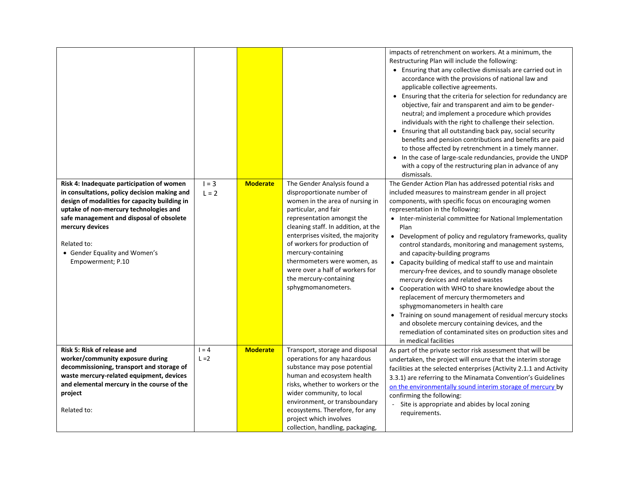|                                                                                                                                                                                                                                                                                                                          |                                       |                                                                                                                                                                                                                                                                                                                                                                                                        | impacts of retrenchment on workers. At a minimum, the<br>Restructuring Plan will include the following:<br>• Ensuring that any collective dismissals are carried out in<br>accordance with the provisions of national law and<br>applicable collective agreements.<br>• Ensuring that the criteria for selection for redundancy are<br>objective, fair and transparent and aim to be gender-<br>neutral; and implement a procedure which provides<br>individuals with the right to challenge their selection.<br>• Ensuring that all outstanding back pay, social security<br>benefits and pension contributions and benefits are paid<br>to those affected by retrenchment in a timely manner.<br>• In the case of large-scale redundancies, provide the UNDP<br>with a copy of the restructuring plan in advance of any<br>dismissals.                                                                                                           |
|--------------------------------------------------------------------------------------------------------------------------------------------------------------------------------------------------------------------------------------------------------------------------------------------------------------------------|---------------------------------------|--------------------------------------------------------------------------------------------------------------------------------------------------------------------------------------------------------------------------------------------------------------------------------------------------------------------------------------------------------------------------------------------------------|----------------------------------------------------------------------------------------------------------------------------------------------------------------------------------------------------------------------------------------------------------------------------------------------------------------------------------------------------------------------------------------------------------------------------------------------------------------------------------------------------------------------------------------------------------------------------------------------------------------------------------------------------------------------------------------------------------------------------------------------------------------------------------------------------------------------------------------------------------------------------------------------------------------------------------------------------|
| Risk 4: Inadequate participation of women<br>in consultations, policy decision making and<br>design of modalities for capacity building in<br>uptake of non-mercury technologies and<br>safe management and disposal of obsolete<br>mercury devices<br>Related to:<br>• Gender Equality and Women's<br>Empowerment; P.10 | $1 = 3$<br><b>Moderate</b><br>$L = 2$ | The Gender Analysis found a<br>disproportionate number of<br>women in the area of nursing in<br>particular, and fair<br>representation amongst the<br>cleaning staff. In addition, at the<br>enterprises visited, the majority<br>of workers for production of<br>mercury-containing<br>thermometers were women, as<br>were over a half of workers for<br>the mercury-containing<br>sphygmomanometers. | The Gender Action Plan has addressed potential risks and<br>included measures to mainstream gender in all project<br>components, with specific focus on encouraging women<br>representation in the following:<br>• Inter-ministerial committee for National Implementation<br>Plan<br>• Development of policy and regulatory frameworks, quality<br>control standards, monitoring and management systems,<br>and capacity-building programs<br>• Capacity building of medical staff to use and maintain<br>mercury-free devices, and to soundly manage obsolete<br>mercury devices and related wastes<br>• Cooperation with WHO to share knowledge about the<br>replacement of mercury thermometers and<br>sphygmomanometers in health care<br>• Training on sound management of residual mercury stocks<br>and obsolete mercury containing devices, and the<br>remediation of contaminated sites on production sites and<br>in medical facilities |
| Risk 5: Risk of release and<br>worker/community exposure during<br>decommissioning, transport and storage of<br>waste mercury-related equipment, devices<br>and elemental mercury in the course of the<br>project<br>Related to:                                                                                         | <b>Moderate</b><br>$1 = 4$<br>$L = 2$ | Transport, storage and disposal<br>operations for any hazardous<br>substance may pose potential<br>human and ecosystem health<br>risks, whether to workers or the<br>wider community, to local<br>environment, or transboundary<br>ecosystems. Therefore, for any<br>project which involves<br>collection, handling, packaging,                                                                        | As part of the private sector risk assessment that will be<br>undertaken, the project will ensure that the interim storage<br>facilities at the selected enterprises (Activity 2.1.1 and Activity<br>3.3.1) are referring to the Minamata Convention's Guidelines<br>on the environmentally sound interim storage of mercury by<br>confirming the following:<br>Site is appropriate and abides by local zoning<br>requirements.                                                                                                                                                                                                                                                                                                                                                                                                                                                                                                                    |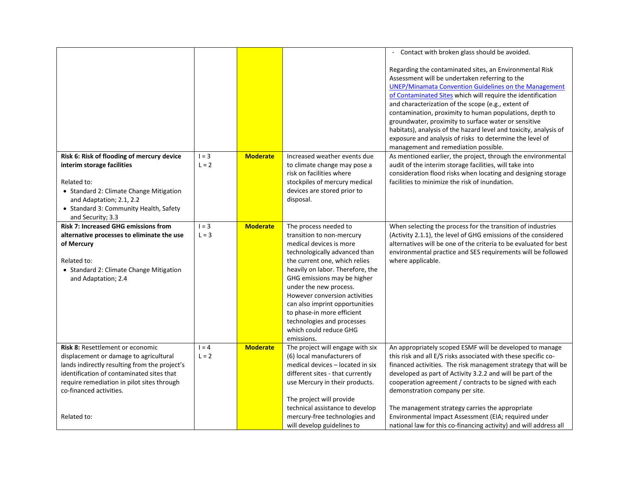|                                               |         |                 |                                                      | - Contact with broken glass should be avoided.                    |
|-----------------------------------------------|---------|-----------------|------------------------------------------------------|-------------------------------------------------------------------|
|                                               |         |                 |                                                      | Regarding the contaminated sites, an Environmental Risk           |
|                                               |         |                 |                                                      | Assessment will be undertaken referring to the                    |
|                                               |         |                 |                                                      | UNEP/Minamata Convention Guidelines on the Management             |
|                                               |         |                 |                                                      | of Contaminated Sites which will require the identification       |
|                                               |         |                 |                                                      | and characterization of the scope (e.g., extent of                |
|                                               |         |                 |                                                      | contamination, proximity to human populations, depth to           |
|                                               |         |                 |                                                      | groundwater, proximity to surface water or sensitive              |
|                                               |         |                 |                                                      | habitats), analysis of the hazard level and toxicity, analysis of |
|                                               |         |                 |                                                      | exposure and analysis of risks to determine the level of          |
|                                               |         |                 |                                                      | management and remediation possible.                              |
| Risk 6: Risk of flooding of mercury device    | $1 = 3$ | <b>Moderate</b> | Increased weather events due                         | As mentioned earlier, the project, through the environmental      |
| interim storage facilities                    | $L = 2$ |                 | to climate change may pose a                         | audit of the interim storage facilities, will take into           |
|                                               |         |                 | risk on facilities where                             | consideration flood risks when locating and designing storage     |
| Related to:                                   |         |                 | stockpiles of mercury medical                        | facilities to minimize the risk of inundation.                    |
| • Standard 2: Climate Change Mitigation       |         |                 | devices are stored prior to                          |                                                                   |
| and Adaptation; 2.1, 2.2                      |         |                 | disposal.                                            |                                                                   |
| • Standard 3: Community Health, Safety        |         |                 |                                                      |                                                                   |
| and Security; 3.3                             |         |                 |                                                      |                                                                   |
| <b>Risk 7: Increased GHG emissions from</b>   | $1 = 3$ | <b>Moderate</b> | The process needed to                                | When selecting the process for the transition of industries       |
| alternative processes to eliminate the use    | $L = 3$ |                 | transition to non-mercury                            | (Activity 2.1.1), the level of GHG emissions of the considered    |
| of Mercury                                    |         |                 | medical devices is more                              | alternatives will be one of the criteria to be evaluated for best |
|                                               |         |                 | technologically advanced than                        | environmental practice and SES requirements will be followed      |
| Related to:                                   |         |                 | the current one, which relies                        | where applicable.                                                 |
| • Standard 2: Climate Change Mitigation       |         |                 | heavily on labor. Therefore, the                     |                                                                   |
| and Adaptation; 2.4                           |         |                 | GHG emissions may be higher                          |                                                                   |
|                                               |         |                 | under the new process.                               |                                                                   |
|                                               |         |                 | However conversion activities                        |                                                                   |
|                                               |         |                 | can also imprint opportunities                       |                                                                   |
|                                               |         |                 | to phase-in more efficient                           |                                                                   |
|                                               |         |                 | technologies and processes<br>which could reduce GHG |                                                                   |
|                                               |         |                 | emissions.                                           |                                                                   |
| Risk 8: Resettlement or economic              | $1 = 4$ | <b>Moderate</b> | The project will engage with six                     | An appropriately scoped ESMF will be developed to manage          |
| displacement or damage to agricultural        | $L = 2$ |                 | (6) local manufacturers of                           | this risk and all E/S risks associated with these specific co-    |
| lands indirectly resulting from the project's |         |                 | medical devices - located in six                     | financed activities. The risk management strategy that will be    |
| identification of contaminated sites that     |         |                 | different sites - that currently                     | developed as part of Activity 3.2.2 and will be part of the       |
| require remediation in pilot sites through    |         |                 | use Mercury in their products.                       | cooperation agreement / contracts to be signed with each          |
| co-financed activities.                       |         |                 |                                                      | demonstration company per site.                                   |
|                                               |         |                 | The project will provide                             |                                                                   |
|                                               |         |                 | technical assistance to develop                      | The management strategy carries the appropriate                   |
| Related to:                                   |         |                 | mercury-free technologies and                        | Environmental Impact Assessment (EIA; required under              |
|                                               |         |                 | will develop guidelines to                           | national law for this co-financing activity) and will address all |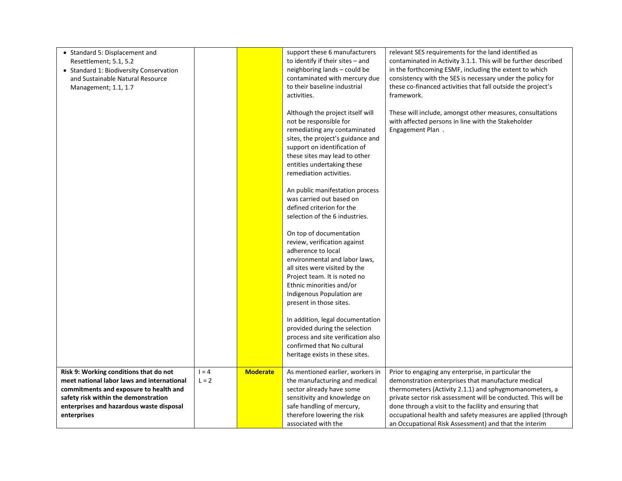| • Standard 5: Displacement and<br>Resettlement; 5.1, 5.2<br>• Standard 1: Biodiversity Conservation<br>and Sustainable Natural Resource<br>Management; 1.1, 1.7                                                                   |                    |                 | support these 6 manufacturers<br>to identify if their sites - and<br>neighboring lands - could be<br>contaminated with mercury due<br>to their baseline industrial<br>activities.<br>Although the project itself will<br>not be responsible for<br>remediating any contaminated<br>sites, the project's guidance and<br>support on identification of<br>these sites may lead to other<br>entities undertaking these<br>remediation activities.<br>An public manifestation process<br>was carried out based on<br>defined criterion for the<br>selection of the 6 industries.<br>On top of documentation<br>review, verification against<br>adherence to local | relevant SES requirements for the land identified as<br>contaminated in Activity 3.1.1. This will be further described<br>in the forthcoming ESMF, including the extent to which<br>consistency with the SES is necessary under the policy for<br>these co-financed activities that fall outside the project's<br>framework.<br>These will include, amongst other measures, consultations<br>with affected persons in line with the Stakeholder<br>Engagement Plan. |
|-----------------------------------------------------------------------------------------------------------------------------------------------------------------------------------------------------------------------------------|--------------------|-----------------|---------------------------------------------------------------------------------------------------------------------------------------------------------------------------------------------------------------------------------------------------------------------------------------------------------------------------------------------------------------------------------------------------------------------------------------------------------------------------------------------------------------------------------------------------------------------------------------------------------------------------------------------------------------|---------------------------------------------------------------------------------------------------------------------------------------------------------------------------------------------------------------------------------------------------------------------------------------------------------------------------------------------------------------------------------------------------------------------------------------------------------------------|
|                                                                                                                                                                                                                                   |                    |                 | Ethnic minorities and/or<br>Indigenous Population are<br>present in those sites.<br>In addition, legal documentation<br>provided during the selection<br>process and site verification also<br>confirmed that No cultural<br>heritage exists in these sites.                                                                                                                                                                                                                                                                                                                                                                                                  |                                                                                                                                                                                                                                                                                                                                                                                                                                                                     |
| Risk 9: Working conditions that do not<br>meet national labor laws and international<br>commitments and exposure to health and<br>safety risk within the demonstration<br>enterprises and hazardous waste disposal<br>enterprises | $1 = 4$<br>$L = 2$ | <b>Moderate</b> | As mentioned earlier, workers in<br>the manufacturing and medical<br>sector already have some<br>sensitivity and knowledge on<br>safe handling of mercury,<br>therefore lowering the risk<br>associated with the                                                                                                                                                                                                                                                                                                                                                                                                                                              | Prior to engaging any enterprise, in particular the<br>demonstration enterprises that manufacture medical<br>thermometers (Activity 2.1.1) and sphygmomanometers, a<br>private sector risk assessment will be conducted. This will be<br>done through a visit to the facility and ensuring that<br>occupational health and safety measures are applied (through<br>an Occupational Risk Assessment) and that the interim                                            |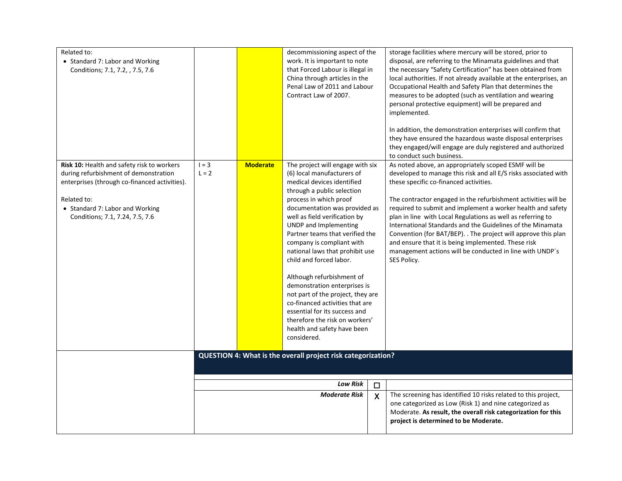| Related to:<br>• Standard 7: Labor and Working<br>Conditions; 7.1, 7.2, , 7.5, 7.6                                                                                                                                               |                    |                      | decommissioning aspect of the<br>work. It is important to note<br>that Forced Labour is illegal in<br>China through articles in the<br>Penal Law of 2011 and Labour<br>Contract Law of 2007.                                                                                                                                                                                                                                                                                                                                                                                                                                        |                                                                                                                                                                                                                                     | storage facilities where mercury will be stored, prior to<br>disposal, are referring to the Minamata guidelines and that<br>the necessary "Safety Certification" has been obtained from<br>local authorities. If not already available at the enterprises, an<br>Occupational Health and Safety Plan that determines the<br>measures to be adopted (such as ventilation and wearing<br>personal protective equipment) will be prepared and<br>implemented.<br>In addition, the demonstration enterprises will confirm that<br>they have ensured the hazardous waste disposal enterprises<br>they engaged/will engage are duly registered and authorized<br>to conduct such business. |
|----------------------------------------------------------------------------------------------------------------------------------------------------------------------------------------------------------------------------------|--------------------|----------------------|-------------------------------------------------------------------------------------------------------------------------------------------------------------------------------------------------------------------------------------------------------------------------------------------------------------------------------------------------------------------------------------------------------------------------------------------------------------------------------------------------------------------------------------------------------------------------------------------------------------------------------------|-------------------------------------------------------------------------------------------------------------------------------------------------------------------------------------------------------------------------------------|--------------------------------------------------------------------------------------------------------------------------------------------------------------------------------------------------------------------------------------------------------------------------------------------------------------------------------------------------------------------------------------------------------------------------------------------------------------------------------------------------------------------------------------------------------------------------------------------------------------------------------------------------------------------------------------|
| <b>Risk 10: Health and safety risk to workers</b><br>during refurbishment of demonstration<br>enterprises (through co-financed activities).<br>Related to:<br>• Standard 7: Labor and Working<br>Conditions; 7.1, 7.24, 7.5, 7.6 | $I = 3$<br>$L = 2$ | <b>Moderate</b>      | The project will engage with six<br>(6) local manufacturers of<br>medical devices identified<br>through a public selection<br>process in which proof<br>documentation was provided as<br>well as field verification by<br>UNDP and Implementing<br>Partner teams that verified the<br>company is compliant with<br>national laws that prohibit use<br>child and forced labor.<br>Although refurbishment of<br>demonstration enterprises is<br>not part of the project, they are<br>co-financed activities that are<br>essential for its success and<br>therefore the risk on workers'<br>health and safety have been<br>considered. |                                                                                                                                                                                                                                     | As noted above, an appropriately scoped ESMF will be<br>developed to manage this risk and all E/S risks associated with<br>these specific co-financed activities.<br>The contractor engaged in the refurbishment activities will be<br>required to submit and implement a worker health and safety<br>plan in line with Local Regulations as well as referring to<br>International Standards and the Guidelines of the Minamata<br>Convention (for BAT/BEP). . The project will approve this plan<br>and ensure that it is being implemented. These risk<br>management actions will be conducted in line with UNDP's<br>SES Policy.                                                  |
|                                                                                                                                                                                                                                  |                    |                      | QUESTION 4: What is the overall project risk categorization?<br>Low Risk                                                                                                                                                                                                                                                                                                                                                                                                                                                                                                                                                            |                                                                                                                                                                                                                                     |                                                                                                                                                                                                                                                                                                                                                                                                                                                                                                                                                                                                                                                                                      |
|                                                                                                                                                                                                                                  |                    | <b>Moderate Risk</b> | $\Box$<br>$\boldsymbol{\mathsf{X}}$                                                                                                                                                                                                                                                                                                                                                                                                                                                                                                                                                                                                 | The screening has identified 10 risks related to this project,<br>one categorized as Low (Risk 1) and nine categorized as<br>Moderate. As result, the overall risk categorization for this<br>project is determined to be Moderate. |                                                                                                                                                                                                                                                                                                                                                                                                                                                                                                                                                                                                                                                                                      |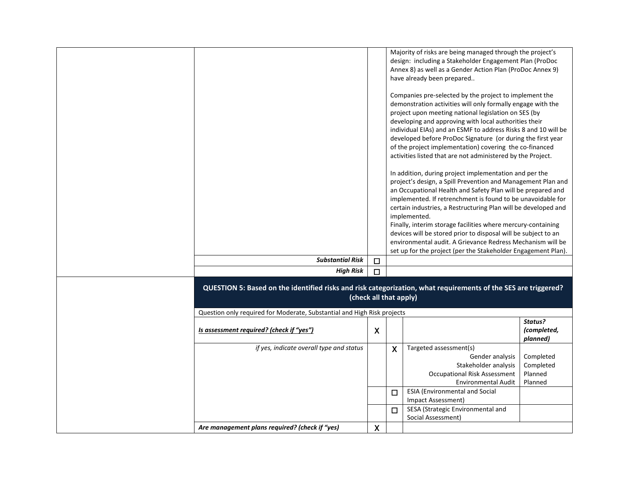|                                                                                                                                          |                  |              | Majority of risks are being managed through the project's<br>design: including a Stakeholder Engagement Plan (ProDoc<br>Annex 8) as well as a Gender Action Plan (ProDoc Annex 9)<br>have already been prepared                                                                                                                                                                                                                                                                                   |                                              |
|------------------------------------------------------------------------------------------------------------------------------------------|------------------|--------------|---------------------------------------------------------------------------------------------------------------------------------------------------------------------------------------------------------------------------------------------------------------------------------------------------------------------------------------------------------------------------------------------------------------------------------------------------------------------------------------------------|----------------------------------------------|
|                                                                                                                                          |                  |              | Companies pre-selected by the project to implement the<br>demonstration activities will only formally engage with the<br>project upon meeting national legislation on SES (by<br>developing and approving with local authorities their<br>individual EIAs) and an ESMF to address Risks 8 and 10 will be<br>developed before ProDoc Signature (or during the first year<br>of the project implementation) covering the co-financed<br>activities listed that are not administered by the Project. |                                              |
|                                                                                                                                          |                  |              | In addition, during project implementation and per the<br>project's design, a Spill Prevention and Management Plan and<br>an Occupational Health and Safety Plan will be prepared and<br>implemented. If retrenchment is found to be unavoidable for<br>certain industries, a Restructuring Plan will be developed and<br>implemented.<br>Finally, interim storage facilities where mercury-containing<br>devices will be stored prior to disposal will be subject to an                          |                                              |
|                                                                                                                                          |                  |              | environmental audit. A Grievance Redress Mechanism will be<br>set up for the project (per the Stakeholder Engagement Plan).                                                                                                                                                                                                                                                                                                                                                                       |                                              |
| <b>Substantial Risk</b>                                                                                                                  | $\Box$           |              |                                                                                                                                                                                                                                                                                                                                                                                                                                                                                                   |                                              |
| <b>High Risk</b>                                                                                                                         | $\Box$           |              |                                                                                                                                                                                                                                                                                                                                                                                                                                                                                                   |                                              |
| QUESTION 5: Based on the identified risks and risk categorization, what requirements of the SES are triggered?<br>(check all that apply) |                  |              |                                                                                                                                                                                                                                                                                                                                                                                                                                                                                                   |                                              |
| Question only required for Moderate, Substantial and High Risk projects                                                                  |                  |              |                                                                                                                                                                                                                                                                                                                                                                                                                                                                                                   |                                              |
| Is assessment required? (check if "yes")                                                                                                 | $\boldsymbol{X}$ |              |                                                                                                                                                                                                                                                                                                                                                                                                                                                                                                   | Status?<br>(completed,<br>planned)           |
| if yes, indicate overall type and status                                                                                                 |                  | $\mathsf{X}$ | Targeted assessment(s)<br>Gender analysis<br>Stakeholder analysis<br><b>Occupational Risk Assessment</b><br><b>Environmental Audit</b>                                                                                                                                                                                                                                                                                                                                                            | Completed<br>Completed<br>Planned<br>Planned |
|                                                                                                                                          |                  | □            | <b>ESIA (Environmental and Social</b><br>Impact Assessment)                                                                                                                                                                                                                                                                                                                                                                                                                                       |                                              |
|                                                                                                                                          |                  | $\Box$       | SESA (Strategic Environmental and<br>Social Assessment)                                                                                                                                                                                                                                                                                                                                                                                                                                           |                                              |
| Are management plans required? (check if "yes)                                                                                           | $\boldsymbol{X}$ |              |                                                                                                                                                                                                                                                                                                                                                                                                                                                                                                   |                                              |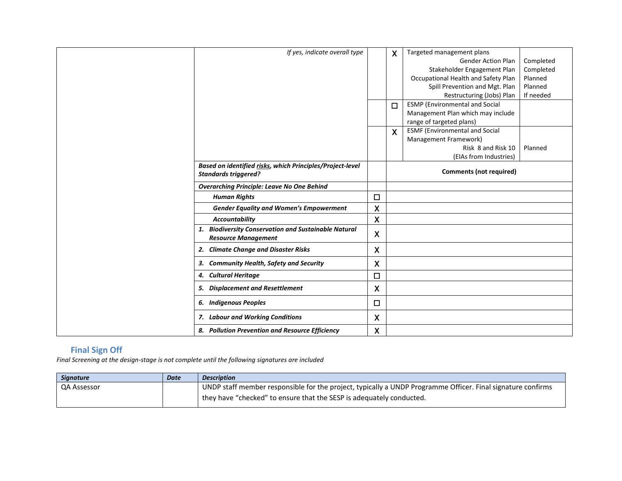| If yes, indicate overall type                                                            |                           | $\boldsymbol{X}$ | Targeted management plans<br><b>Gender Action Plan</b><br>Stakeholder Engagement Plan<br>Occupational Health and Safety Plan<br>Spill Prevention and Mgt. Plan<br>Restructuring (Jobs) Plan | Completed<br>Completed<br>Planned<br>Planned<br>If needed |
|------------------------------------------------------------------------------------------|---------------------------|------------------|---------------------------------------------------------------------------------------------------------------------------------------------------------------------------------------------|-----------------------------------------------------------|
|                                                                                          |                           | $\Box$           | <b>ESMP</b> (Environmental and Social<br>Management Plan which may include<br>range of targeted plans)                                                                                      |                                                           |
|                                                                                          |                           | $\mathsf{X}$     | <b>ESMF (Environmental and Social</b><br>Management Framework)<br>Risk 8 and Risk 10<br>(EIAs from Industries)                                                                              | Planned                                                   |
| Based on identified risks, which Principles/Project-level<br><b>Standards triggered?</b> |                           |                  | <b>Comments (not required)</b>                                                                                                                                                              |                                                           |
| <b>Overarching Principle: Leave No One Behind</b>                                        |                           |                  |                                                                                                                                                                                             |                                                           |
| <b>Human Rights</b>                                                                      | $\Box$                    |                  |                                                                                                                                                                                             |                                                           |
| <b>Gender Equality and Women's Empowerment</b>                                           | $\boldsymbol{\mathsf{X}}$ |                  |                                                                                                                                                                                             |                                                           |
| <b>Accountability</b>                                                                    | $\boldsymbol{\mathsf{X}}$ |                  |                                                                                                                                                                                             |                                                           |
| 1. Biodiversity Conservation and Sustainable Natural<br><b>Resource Management</b>       | $\boldsymbol{\mathsf{X}}$ |                  |                                                                                                                                                                                             |                                                           |
| 2. Climate Change and Disaster Risks                                                     | $\boldsymbol{\mathsf{X}}$ |                  |                                                                                                                                                                                             |                                                           |
| 3. Community Health, Safety and Security                                                 | X                         |                  |                                                                                                                                                                                             |                                                           |
| 4. Cultural Heritage                                                                     | $\Box$                    |                  |                                                                                                                                                                                             |                                                           |
| 5. Displacement and Resettlement                                                         | $\boldsymbol{\mathsf{X}}$ |                  |                                                                                                                                                                                             |                                                           |
| 6. Indigenous Peoples                                                                    | □                         |                  |                                                                                                                                                                                             |                                                           |
| 7. Labour and Working Conditions                                                         | $\boldsymbol{\mathsf{X}}$ |                  |                                                                                                                                                                                             |                                                           |
| 8. Pollution Prevention and Resource Efficiency                                          | X                         |                  |                                                                                                                                                                                             |                                                           |

## **Final Sign Off**

*Final Screening at the design-stage is not complete until the following signatures are included*

| <b>Signature</b>   | Date | <b>Description</b>                                                                                          |
|--------------------|------|-------------------------------------------------------------------------------------------------------------|
| <b>QA Assessor</b> |      | UNDP staff member responsible for the project, typically a UNDP Programme Officer. Final signature confirms |
|                    |      | they have "checked" to ensure that the SESP is adequately conducted.                                        |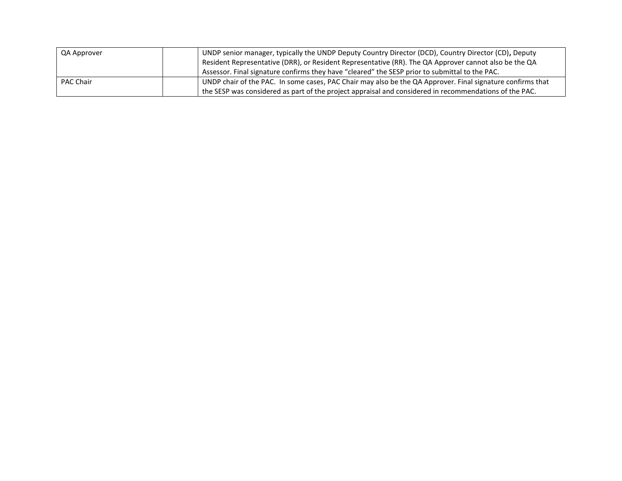| QA Approver      | UNDP senior manager, typically the UNDP Deputy Country Director (DCD), Country Director (CD), Deputy       |
|------------------|------------------------------------------------------------------------------------------------------------|
|                  | Resident Representative (DRR), or Resident Representative (RR). The QA Approver cannot also be the QA      |
|                  | Assessor. Final signature confirms they have "cleared" the SESP prior to submittal to the PAC.             |
| <b>PAC Chair</b> | UNDP chair of the PAC. In some cases, PAC Chair may also be the QA Approver. Final signature confirms that |
|                  | the SESP was considered as part of the project appraisal and considered in recommendations of the PAC.     |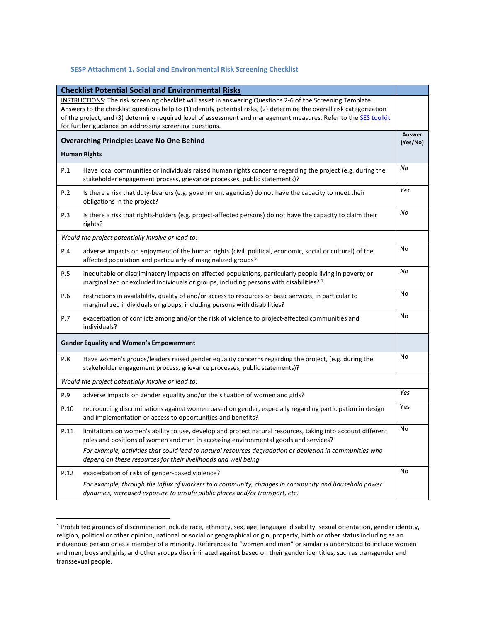### **SESP Attachment 1. Social and Environmental Risk Screening Checklist**

| <b>Checklist Potential Social and Environmental Risks</b>                                                    |                                                                                                                                                                                                                                            |                    |
|--------------------------------------------------------------------------------------------------------------|--------------------------------------------------------------------------------------------------------------------------------------------------------------------------------------------------------------------------------------------|--------------------|
| INSTRUCTIONS: The risk screening checklist will assist in answering Questions 2-6 of the Screening Template. |                                                                                                                                                                                                                                            |                    |
|                                                                                                              | Answers to the checklist questions help to (1) identify potential risks, (2) determine the overall risk categorization<br>of the project, and (3) determine required level of assessment and management measures. Refer to the SES toolkit |                    |
| for further guidance on addressing screening questions.                                                      |                                                                                                                                                                                                                                            |                    |
| <b>Overarching Principle: Leave No One Behind</b>                                                            |                                                                                                                                                                                                                                            | Answer<br>(Yes/No) |
| <b>Human Rights</b>                                                                                          |                                                                                                                                                                                                                                            |                    |
| P.1                                                                                                          | Have local communities or individuals raised human rights concerns regarding the project (e.g. during the<br>stakeholder engagement process, grievance processes, public statements)?                                                      | No                 |
| P.2                                                                                                          | Is there a risk that duty-bearers (e.g. government agencies) do not have the capacity to meet their<br>obligations in the project?                                                                                                         | Yes                |
| P.3                                                                                                          | Is there a risk that rights-holders (e.g. project-affected persons) do not have the capacity to claim their<br>rights?                                                                                                                     | No                 |
|                                                                                                              | Would the project potentially involve or lead to:                                                                                                                                                                                          |                    |
| P.4                                                                                                          | adverse impacts on enjoyment of the human rights (civil, political, economic, social or cultural) of the<br>affected population and particularly of marginalized groups?                                                                   | No                 |
| P.5                                                                                                          | inequitable or discriminatory impacts on affected populations, particularly people living in poverty or<br>marginalized or excluded individuals or groups, including persons with disabilities? <sup>1</sup>                               | No                 |
| P.6                                                                                                          | restrictions in availability, quality of and/or access to resources or basic services, in particular to<br>marginalized individuals or groups, including persons with disabilities?                                                        | No                 |
| P.7                                                                                                          | exacerbation of conflicts among and/or the risk of violence to project-affected communities and<br>individuals?                                                                                                                            | No                 |
| <b>Gender Equality and Women's Empowerment</b>                                                               |                                                                                                                                                                                                                                            |                    |
| P.8                                                                                                          | Have women's groups/leaders raised gender equality concerns regarding the project, (e.g. during the<br>stakeholder engagement process, grievance processes, public statements)?                                                            | No                 |
|                                                                                                              | Would the project potentially involve or lead to:                                                                                                                                                                                          |                    |
| P.9                                                                                                          | adverse impacts on gender equality and/or the situation of women and girls?                                                                                                                                                                | Yes                |
| P.10                                                                                                         | reproducing discriminations against women based on gender, especially regarding participation in design<br>and implementation or access to opportunities and benefits?                                                                     | Yes                |
| P.11                                                                                                         | limitations on women's ability to use, develop and protect natural resources, taking into account different<br>roles and positions of women and men in accessing environmental goods and services?                                         | No                 |
|                                                                                                              | For example, activities that could lead to natural resources degradation or depletion in communities who<br>depend on these resources for their livelihoods and well being                                                                 |                    |
| P.12                                                                                                         | exacerbation of risks of gender-based violence?                                                                                                                                                                                            | No                 |
|                                                                                                              | For example, through the influx of workers to a community, changes in community and household power<br>dynamics, increased exposure to unsafe public places and/or transport, etc.                                                         |                    |

<sup>&</sup>lt;sup>1</sup> Prohibited grounds of discrimination include race, ethnicity, sex, age, language, disability, sexual orientation, gender identity, religion, political or other opinion, national or social or geographical origin, property, birth or other status including as an indigenous person or as a member of a minority. References to "women and men" or similar is understood to include women and men, boys and girls, and other groups discriminated against based on their gender identities, such as transgender and transsexual people.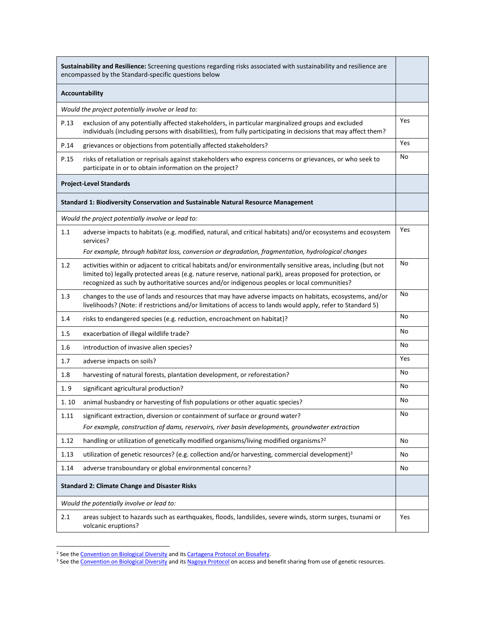| Sustainability and Resilience: Screening questions regarding risks associated with sustainability and resilience are<br>encompassed by the Standard-specific questions below |                                                                                                                                                                                                                                                                                                                             |     |
|------------------------------------------------------------------------------------------------------------------------------------------------------------------------------|-----------------------------------------------------------------------------------------------------------------------------------------------------------------------------------------------------------------------------------------------------------------------------------------------------------------------------|-----|
| <b>Accountability</b>                                                                                                                                                        |                                                                                                                                                                                                                                                                                                                             |     |
| Would the project potentially involve or lead to:                                                                                                                            |                                                                                                                                                                                                                                                                                                                             |     |
| P.13                                                                                                                                                                         | exclusion of any potentially affected stakeholders, in particular marginalized groups and excluded<br>individuals (including persons with disabilities), from fully participating in decisions that may affect them?                                                                                                        | Yes |
| P.14                                                                                                                                                                         | grievances or objections from potentially affected stakeholders?                                                                                                                                                                                                                                                            | Yes |
| P.15                                                                                                                                                                         | risks of retaliation or reprisals against stakeholders who express concerns or grievances, or who seek to<br>participate in or to obtain information on the project?                                                                                                                                                        | No  |
|                                                                                                                                                                              | <b>Project-Level Standards</b>                                                                                                                                                                                                                                                                                              |     |
|                                                                                                                                                                              | Standard 1: Biodiversity Conservation and Sustainable Natural Resource Management                                                                                                                                                                                                                                           |     |
|                                                                                                                                                                              | Would the project potentially involve or lead to:                                                                                                                                                                                                                                                                           |     |
| 1.1                                                                                                                                                                          | adverse impacts to habitats (e.g. modified, natural, and critical habitats) and/or ecosystems and ecosystem<br>services?                                                                                                                                                                                                    | Yes |
|                                                                                                                                                                              | For example, through habitat loss, conversion or degradation, fragmentation, hydrological changes                                                                                                                                                                                                                           |     |
| 1.2                                                                                                                                                                          | activities within or adjacent to critical habitats and/or environmentally sensitive areas, including (but not<br>limited to) legally protected areas (e.g. nature reserve, national park), areas proposed for protection, or<br>recognized as such by authoritative sources and/or indigenous peoples or local communities? | No  |
| 1.3                                                                                                                                                                          | changes to the use of lands and resources that may have adverse impacts on habitats, ecosystems, and/or<br>livelihoods? (Note: if restrictions and/or limitations of access to lands would apply, refer to Standard 5)                                                                                                      | No  |
| 1.4                                                                                                                                                                          | risks to endangered species (e.g. reduction, encroachment on habitat)?                                                                                                                                                                                                                                                      | No  |
| 1.5                                                                                                                                                                          | exacerbation of illegal wildlife trade?                                                                                                                                                                                                                                                                                     | No  |
| 1.6                                                                                                                                                                          | introduction of invasive alien species?                                                                                                                                                                                                                                                                                     | No  |
| 1.7                                                                                                                                                                          | adverse impacts on soils?                                                                                                                                                                                                                                                                                                   | Yes |
| 1.8                                                                                                                                                                          | harvesting of natural forests, plantation development, or reforestation?                                                                                                                                                                                                                                                    | No  |
| 1.9                                                                                                                                                                          | significant agricultural production?                                                                                                                                                                                                                                                                                        | No  |
| 1.10                                                                                                                                                                         | animal husbandry or harvesting of fish populations or other aquatic species?                                                                                                                                                                                                                                                | No  |
| 1.11                                                                                                                                                                         | significant extraction, diversion or containment of surface or ground water?<br>For example, construction of dams, reservoirs, river basin developments, groundwater extraction                                                                                                                                             | No  |
| 1.12                                                                                                                                                                         | handling or utilization of genetically modified organisms/living modified organisms? <sup>2</sup>                                                                                                                                                                                                                           | No  |
| 1.13                                                                                                                                                                         | utilization of genetic resources? (e.g. collection and/or harvesting, commercial development) <sup>3</sup>                                                                                                                                                                                                                  | No  |
| 1.14                                                                                                                                                                         | adverse transboundary or global environmental concerns?                                                                                                                                                                                                                                                                     | No  |
| <b>Standard 2: Climate Change and Disaster Risks</b>                                                                                                                         |                                                                                                                                                                                                                                                                                                                             |     |
| Would the potentially involve or lead to:                                                                                                                                    |                                                                                                                                                                                                                                                                                                                             |     |
| 2.1                                                                                                                                                                          | areas subject to hazards such as earthquakes, floods, landslides, severe winds, storm surges, tsunami or<br>volcanic eruptions?                                                                                                                                                                                             | Yes |

<sup>&</sup>lt;sup>2</sup> See th[e Convention on Biological Diversity](https://www.cbd.int/) and it[s Cartagena Protocol on Biosafety.](https://bch.cbd.int/protocol)

<sup>&</sup>lt;sup>3</sup> See th[e Convention on Biological Diversity](https://www.cbd.int/) and its [Nagoya Protocol](https://www.cbd.int/abs/) on access and benefit sharing from use of genetic resources.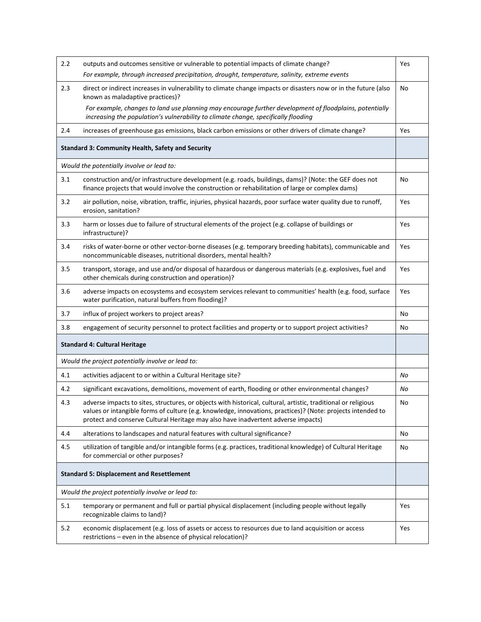| 2.2                                              | outputs and outcomes sensitive or vulnerable to potential impacts of climate change?                                                                                                                                                                                                                               | Yes |
|--------------------------------------------------|--------------------------------------------------------------------------------------------------------------------------------------------------------------------------------------------------------------------------------------------------------------------------------------------------------------------|-----|
|                                                  | For example, through increased precipitation, drought, temperature, salinity, extreme events                                                                                                                                                                                                                       |     |
| 2.3                                              | direct or indirect increases in vulnerability to climate change impacts or disasters now or in the future (also<br>known as maladaptive practices)?                                                                                                                                                                | No  |
|                                                  | For example, changes to land use planning may encourage further development of floodplains, potentially<br>increasing the population's vulnerability to climate change, specifically flooding                                                                                                                      |     |
| 2.4                                              | increases of greenhouse gas emissions, black carbon emissions or other drivers of climate change?                                                                                                                                                                                                                  | Yes |
|                                                  | <b>Standard 3: Community Health, Safety and Security</b>                                                                                                                                                                                                                                                           |     |
|                                                  | Would the potentially involve or lead to:                                                                                                                                                                                                                                                                          |     |
| 3.1                                              | construction and/or infrastructure development (e.g. roads, buildings, dams)? (Note: the GEF does not<br>finance projects that would involve the construction or rehabilitation of large or complex dams)                                                                                                          | No  |
| 3.2                                              | air pollution, noise, vibration, traffic, injuries, physical hazards, poor surface water quality due to runoff,<br>erosion, sanitation?                                                                                                                                                                            | Yes |
| 3.3                                              | harm or losses due to failure of structural elements of the project (e.g. collapse of buildings or<br>infrastructure)?                                                                                                                                                                                             | Yes |
| 3.4                                              | risks of water-borne or other vector-borne diseases (e.g. temporary breeding habitats), communicable and<br>noncommunicable diseases, nutritional disorders, mental health?                                                                                                                                        | Yes |
| 3.5                                              | transport, storage, and use and/or disposal of hazardous or dangerous materials (e.g. explosives, fuel and<br>other chemicals during construction and operation)?                                                                                                                                                  | Yes |
| 3.6                                              | adverse impacts on ecosystems and ecosystem services relevant to communities' health (e.g. food, surface<br>water purification, natural buffers from flooding)?                                                                                                                                                    | Yes |
| 3.7                                              | influx of project workers to project areas?                                                                                                                                                                                                                                                                        | No  |
| 3.8                                              | engagement of security personnel to protect facilities and property or to support project activities?                                                                                                                                                                                                              | No  |
|                                                  | <b>Standard 4: Cultural Heritage</b>                                                                                                                                                                                                                                                                               |     |
|                                                  | Would the project potentially involve or lead to:                                                                                                                                                                                                                                                                  |     |
| 4.1                                              | activities adjacent to or within a Cultural Heritage site?                                                                                                                                                                                                                                                         | No  |
| 4.2                                              | significant excavations, demolitions, movement of earth, flooding or other environmental changes?                                                                                                                                                                                                                  | No  |
| 4.3                                              | adverse impacts to sites, structures, or objects with historical, cultural, artistic, traditional or religious<br>values or intangible forms of culture (e.g. knowledge, innovations, practices)? (Note: projects intended to<br>protect and conserve Cultural Heritage may also have inadvertent adverse impacts) | No  |
| 4.4                                              | alterations to landscapes and natural features with cultural significance?                                                                                                                                                                                                                                         | No  |
| 4.5                                              | utilization of tangible and/or intangible forms (e.g. practices, traditional knowledge) of Cultural Heritage<br>for commercial or other purposes?                                                                                                                                                                  | No  |
| <b>Standard 5: Displacement and Resettlement</b> |                                                                                                                                                                                                                                                                                                                    |     |
|                                                  | Would the project potentially involve or lead to:                                                                                                                                                                                                                                                                  |     |
| 5.1                                              | temporary or permanent and full or partial physical displacement (including people without legally<br>recognizable claims to land)?                                                                                                                                                                                | Yes |
| 5.2                                              | economic displacement (e.g. loss of assets or access to resources due to land acquisition or access<br>restrictions - even in the absence of physical relocation)?                                                                                                                                                 | Yes |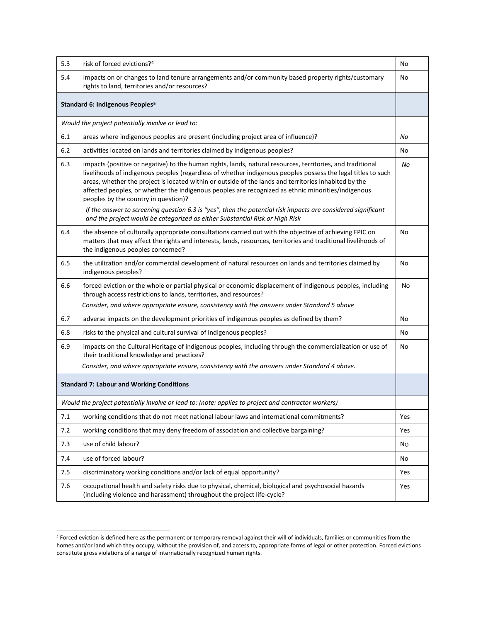| 5.3                                               | risk of forced evictions? <sup>4</sup>                                                                                                                                                                                                                                                                                                                                                                                                                                            | No             |
|---------------------------------------------------|-----------------------------------------------------------------------------------------------------------------------------------------------------------------------------------------------------------------------------------------------------------------------------------------------------------------------------------------------------------------------------------------------------------------------------------------------------------------------------------|----------------|
| 5.4                                               | impacts on or changes to land tenure arrangements and/or community based property rights/customary<br>rights to land, territories and/or resources?                                                                                                                                                                                                                                                                                                                               | No             |
|                                                   | Standard 6: Indigenous Peoples <sup>5</sup>                                                                                                                                                                                                                                                                                                                                                                                                                                       |                |
| Would the project potentially involve or lead to: |                                                                                                                                                                                                                                                                                                                                                                                                                                                                                   |                |
| 6.1                                               | areas where indigenous peoples are present (including project area of influence)?                                                                                                                                                                                                                                                                                                                                                                                                 | No             |
| 6.2                                               | activities located on lands and territories claimed by indigenous peoples?                                                                                                                                                                                                                                                                                                                                                                                                        | No             |
| 6.3                                               | impacts (positive or negative) to the human rights, lands, natural resources, territories, and traditional<br>livelihoods of indigenous peoples (regardless of whether indigenous peoples possess the legal titles to such<br>areas, whether the project is located within or outside of the lands and territories inhabited by the<br>affected peoples, or whether the indigenous peoples are recognized as ethnic minorities/indigenous<br>peoples by the country in question)? | No             |
|                                                   | If the answer to screening question 6.3 is "yes", then the potential risk impacts are considered significant<br>and the project would be categorized as either Substantial Risk or High Risk                                                                                                                                                                                                                                                                                      |                |
| 6.4                                               | the absence of culturally appropriate consultations carried out with the objective of achieving FPIC on<br>matters that may affect the rights and interests, lands, resources, territories and traditional livelihoods of<br>the indigenous peoples concerned?                                                                                                                                                                                                                    | No             |
| 6.5                                               | the utilization and/or commercial development of natural resources on lands and territories claimed by<br>indigenous peoples?                                                                                                                                                                                                                                                                                                                                                     | No             |
| 6.6                                               | forced eviction or the whole or partial physical or economic displacement of indigenous peoples, including<br>through access restrictions to lands, territories, and resources?                                                                                                                                                                                                                                                                                                   | No             |
|                                                   | Consider, and where appropriate ensure, consistency with the answers under Standard 5 above                                                                                                                                                                                                                                                                                                                                                                                       |                |
| 6.7                                               | adverse impacts on the development priorities of indigenous peoples as defined by them?                                                                                                                                                                                                                                                                                                                                                                                           | No             |
| 6.8                                               | risks to the physical and cultural survival of indigenous peoples?                                                                                                                                                                                                                                                                                                                                                                                                                | No             |
| 6.9                                               | impacts on the Cultural Heritage of indigenous peoples, including through the commercialization or use of<br>their traditional knowledge and practices?                                                                                                                                                                                                                                                                                                                           | No             |
|                                                   | Consider, and where appropriate ensure, consistency with the answers under Standard 4 above.                                                                                                                                                                                                                                                                                                                                                                                      |                |
|                                                   | <b>Standard 7: Labour and Working Conditions</b>                                                                                                                                                                                                                                                                                                                                                                                                                                  |                |
|                                                   | Would the project potentially involve or lead to: (note: applies to project and contractor workers)                                                                                                                                                                                                                                                                                                                                                                               |                |
| 7.1                                               | working conditions that do not meet national labour laws and international commitments?                                                                                                                                                                                                                                                                                                                                                                                           | Yes            |
| 7.2                                               | working conditions that may deny freedom of association and collective bargaining?                                                                                                                                                                                                                                                                                                                                                                                                | Yes            |
| 7.3                                               | use of child labour?                                                                                                                                                                                                                                                                                                                                                                                                                                                              | N <sub>O</sub> |
| 7.4                                               | use of forced labour?                                                                                                                                                                                                                                                                                                                                                                                                                                                             | No             |
| 7.5                                               | discriminatory working conditions and/or lack of equal opportunity?                                                                                                                                                                                                                                                                                                                                                                                                               | Yes            |
| 7.6                                               | occupational health and safety risks due to physical, chemical, biological and psychosocial hazards<br>(including violence and harassment) throughout the project life-cycle?                                                                                                                                                                                                                                                                                                     | Yes            |

<sup>4</sup> Forced eviction is defined here as the permanent or temporary removal against their will of individuals, families or communities from the homes and/or land which they occupy, without the provision of, and access to, appropriate forms of legal or other protection. Forced evictions constitute gross violations of a range of internationally recognized human rights.